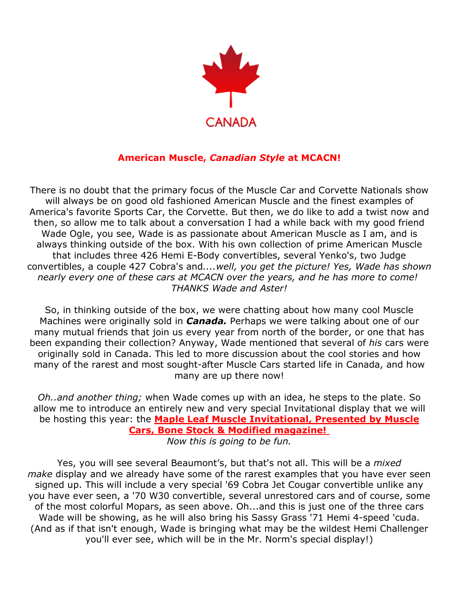

## **American Muscle,** *Canadian Style* **at MCACN!**

There is no doubt that the primary focus of the Muscle Car and Corvette Nationals show will always be on good old fashioned American Muscle and the finest examples of America's favorite Sports Car, the Corvette. But then, we do like to add a twist now and then, so allow me to talk about a conversation I had a while back with my good friend Wade Ogle, you see, Wade is as passionate about American Muscle as I am, and is always thinking outside of the box. With his own collection of prime American Muscle that includes three 426 Hemi E-Body convertibles, several Yenko's, two Judge convertibles, a couple 427 Cobra's and*....well, you get the picture! Yes, Wade has shown nearly every one of these cars at MCACN over the years, and he has more to come! THANKS Wade and Aster!*

So, in thinking outside of the box, we were chatting about how many cool Muscle Machines were originally sold in *Canada.* Perhaps we were talking about one of our many mutual friends that join us every year from north of the border, or one that has been expanding their collection? Anyway, Wade mentioned that several of *his* cars were originally sold in Canada. This led to more discussion about the cool stories and how many of the rarest and most sought-after Muscle Cars started life in Canada, and how many are up there now!

*Oh..and another thing;* when Wade comes up with an idea, he steps to the plate. So allow me to introduce an entirely new and very special Invitational display that we will be hosting this year: the **[Maple Leaf Muscle Invitational, Presented by Muscle](https://www.mcacn.com/invitational-displays)  [Cars, Bone Stock & Modified magazine!](https://www.mcacn.com/invitational-displays)**

*Now this is going to be fun.*

Yes, you will see several Beaumont's, but that's not all. This will be a *mixed make* display and we already have some of the rarest examples that you have ever seen signed up. This will include a very special '69 Cobra Jet Cougar convertible unlike any you have ever seen, a '70 W30 convertible, several unrestored cars and of course, some of the most colorful Mopars, as seen above. Oh...and this is just one of the three cars Wade will be showing, as he will also bring his Sassy Grass '71 Hemi 4-speed 'cuda. (And as if that isn't enough, Wade is bringing what may be the wildest Hemi Challenger you'll ever see, which will be in the Mr. Norm's special display!)